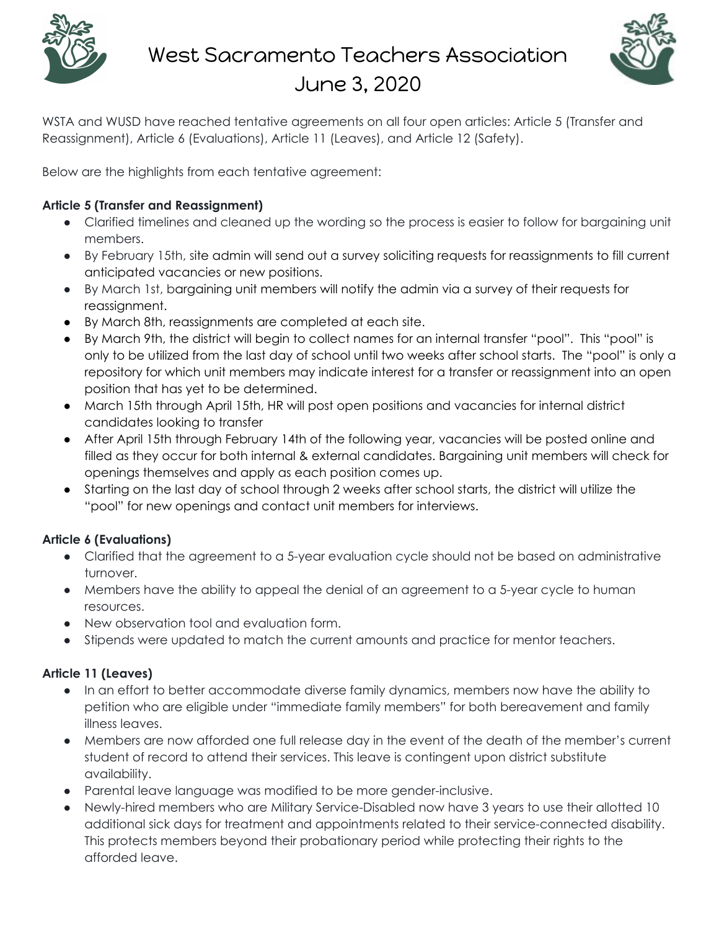



WSTA and WUSD have reached tentative agreements on all four open articles: Article 5 (Transfer and Reassignment), Article 6 (Evaluations), Article 11 (Leaves), and Article 12 (Safety).

Below are the highlights from each tentative agreement:

### **Article 5 (Transfer and Reassignment)**

- Clarified timelines and cleaned up the wording so the process is easier to follow for bargaining unit members.
- By February 15th, site admin will send out a survey soliciting requests for reassignments to fill current anticipated vacancies or new positions.
- By March 1st, bargaining unit members will notify the admin via a survey of their requests for reassignment.
- By March 8th, reassignments are completed at each site.
- By March 9th, the district will begin to collect names for an internal transfer "pool". This "pool" is only to be utilized from the last day of school until two weeks after school starts. The "pool" is only a repository for which unit members may indicate interest for a transfer or reassignment into an open position that has yet to be determined.
- March 15th through April 15th, HR will post open positions and vacancies for internal district candidates looking to transfer
- After April 15th through February 14th of the following year, vacancies will be posted online and filled as they occur for both internal & external candidates. Bargaining unit members will check for openings themselves and apply as each position comes up.
- Starting on the last day of school through 2 weeks after school starts, the district will utilize the "pool" for new openings and contact unit members for interviews.

# **Article 6 (Evaluations)**

- Clarified that the agreement to a 5-year evaluation cycle should not be based on administrative turnover.
- Members have the ability to appeal the denial of an agreement to a 5-year cycle to human resources.
- New observation tool and evaluation form.
- Stipends were updated to match the current amounts and practice for mentor teachers.

# **Article 11 (Leaves)**

- In an effort to better accommodate diverse family dynamics, members now have the ability to petition who are eligible under "immediate family members" for both bereavement and family illness leaves.
- Members are now afforded one full release day in the event of the death of the member's current student of record to attend their services. This leave is contingent upon district substitute availability.
- Parental leave language was modified to be more gender-inclusive.
- Newly-hired members who are Military Service-Disabled now have 3 years to use their allotted 10 additional sick days for treatment and appointments related to their service-connected disability. This protects members beyond their probationary period while protecting their rights to the afforded leave.